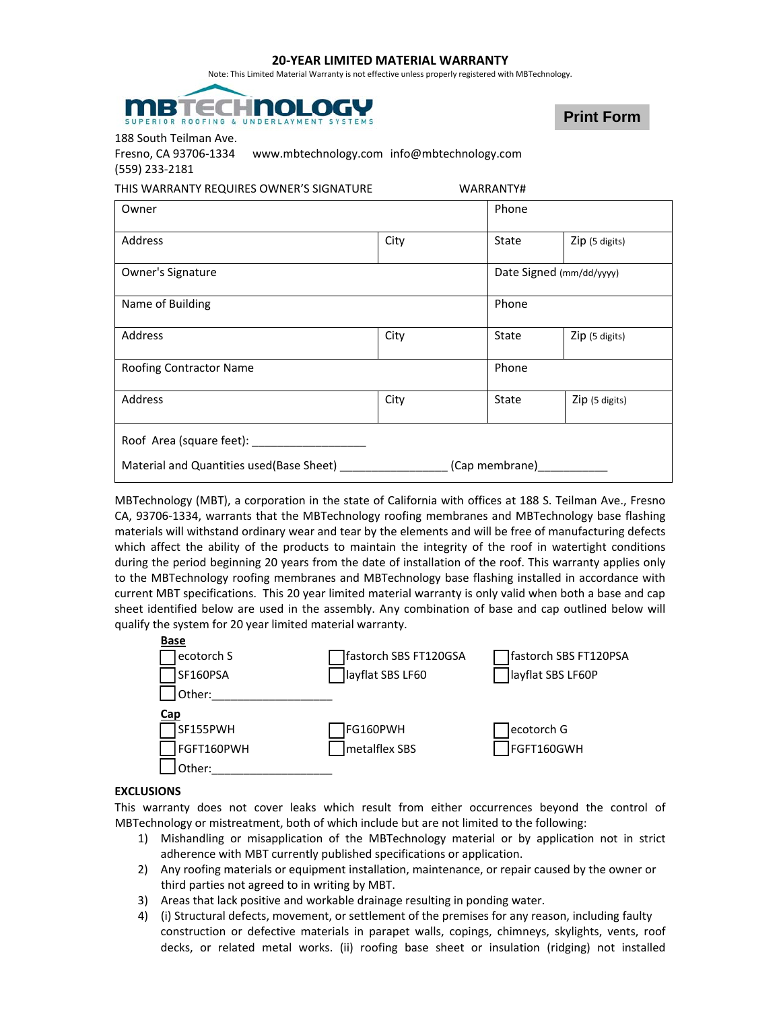## **20‐YEAR LIMITED MATERIAL WARRANTY**

Note: This Limited Material Warranty is not effective unless properly registered with MBTechnology.



**Print Form**

188 South Teilman Ave.

| Fresno, CA 93706-1334 | www.mbtechnology.com info@mbtechnology.com |
|-----------------------|--------------------------------------------|
| (559) 233-2181        |                                            |

| THIS WARRANTY REQUIRES OWNER'S SIGNATURE<br>WARRANTY#      |      |                          |                |  |
|------------------------------------------------------------|------|--------------------------|----------------|--|
| Owner                                                      |      | Phone                    |                |  |
| Address                                                    | City | State                    | Zip (5 digits) |  |
| Owner's Signature                                          |      | Date Signed (mm/dd/yyyy) |                |  |
| Name of Building                                           |      | Phone                    |                |  |
| Address                                                    | City | State                    | Zip (5 digits) |  |
| Roofing Contractor Name                                    |      | Phone                    |                |  |
| Address                                                    | City | State                    | Zip (5 digits) |  |
| Roof Area (square feet):                                   |      |                          |                |  |
| Material and Quantities used(Base Sheet)<br>(Cap membrane) |      |                          |                |  |

MBTechnology (MBT), a corporation in the state of California with offices at 188 S. Teilman Ave., Fresno CA, 93706‐1334, warrants that the MBTechnology roofing membranes and MBTechnology base flashing materials will withstand ordinary wear and tear by the elements and will be free of manufacturing defects which affect the ability of the products to maintain the integrity of the roof in watertight conditions during the period beginning 20 years from the date of installation of the roof. This warranty applies only to the MBTechnology roofing membranes and MBTechnology base flashing installed in accordance with current MBT specifications. This 20 year limited material warranty is only valid when both a base and cap sheet identified below are used in the assembly. Any combination of base and cap outlined below will qualify the system for 20 year limited material warranty.



## **EXCLUSIONS**

This warranty does not cover leaks which result from either occurrences beyond the control of MBTechnology or mistreatment, both of which include but are not limited to the following:

- 1) Mishandling or misapplication of the MBTechnology material or by application not in strict adherence with MBT currently published specifications or application.
- 2) Any roofing materials or equipment installation, maintenance, or repair caused by the owner or third parties not agreed to in writing by MBT.
- 3) Areas that lack positive and workable drainage resulting in ponding water.
- 4) (i) Structural defects, movement, or settlement of the premises for any reason, including faulty construction or defective materials in parapet walls, copings, chimneys, skylights, vents, roof decks, or related metal works. (ii) roofing base sheet or insulation (ridging) not installed